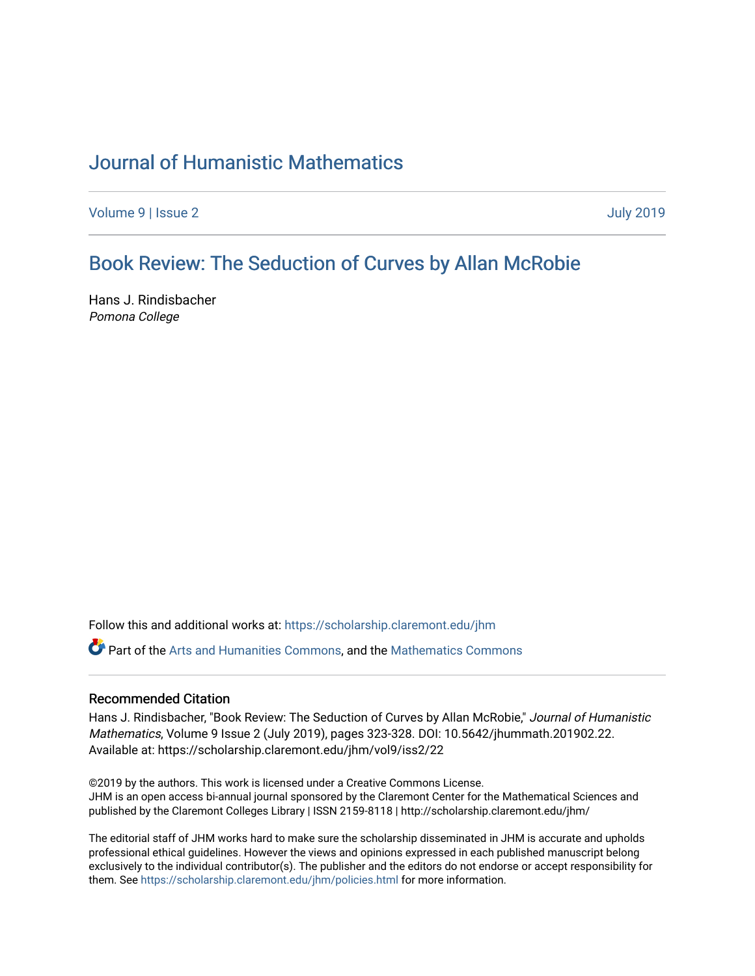## [Journal of Humanistic Mathematics](https://scholarship.claremont.edu/jhm)

[Volume 9](https://scholarship.claremont.edu/jhm/vol9) | [Issue 2](https://scholarship.claremont.edu/jhm/vol9/iss2) [July 2019](https://scholarship.claremont.edu/jhm/vol9/iss2) 

### [Book Review: The Seduction of Curves by Allan McRobie](https://scholarship.claremont.edu/jhm/vol9/iss2/22)

Hans J. Rindisbacher Pomona College

Follow this and additional works at: [https://scholarship.claremont.edu/jhm](https://scholarship.claremont.edu/jhm?utm_source=scholarship.claremont.edu%2Fjhm%2Fvol9%2Fiss2%2F22&utm_medium=PDF&utm_campaign=PDFCoverPages)

Part of the [Arts and Humanities Commons,](http://network.bepress.com/hgg/discipline/438?utm_source=scholarship.claremont.edu%2Fjhm%2Fvol9%2Fiss2%2F22&utm_medium=PDF&utm_campaign=PDFCoverPages) and the [Mathematics Commons](http://network.bepress.com/hgg/discipline/174?utm_source=scholarship.claremont.edu%2Fjhm%2Fvol9%2Fiss2%2F22&utm_medium=PDF&utm_campaign=PDFCoverPages) 

#### Recommended Citation

Hans J. Rindisbacher, "Book Review: The Seduction of Curves by Allan McRobie," Journal of Humanistic Mathematics, Volume 9 Issue 2 (July 2019), pages 323-328. DOI: 10.5642/jhummath.201902.22. Available at: https://scholarship.claremont.edu/jhm/vol9/iss2/22

©2019 by the authors. This work is licensed under a Creative Commons License. JHM is an open access bi-annual journal sponsored by the Claremont Center for the Mathematical Sciences and published by the Claremont Colleges Library | ISSN 2159-8118 | http://scholarship.claremont.edu/jhm/

The editorial staff of JHM works hard to make sure the scholarship disseminated in JHM is accurate and upholds professional ethical guidelines. However the views and opinions expressed in each published manuscript belong exclusively to the individual contributor(s). The publisher and the editors do not endorse or accept responsibility for them. See<https://scholarship.claremont.edu/jhm/policies.html> for more information.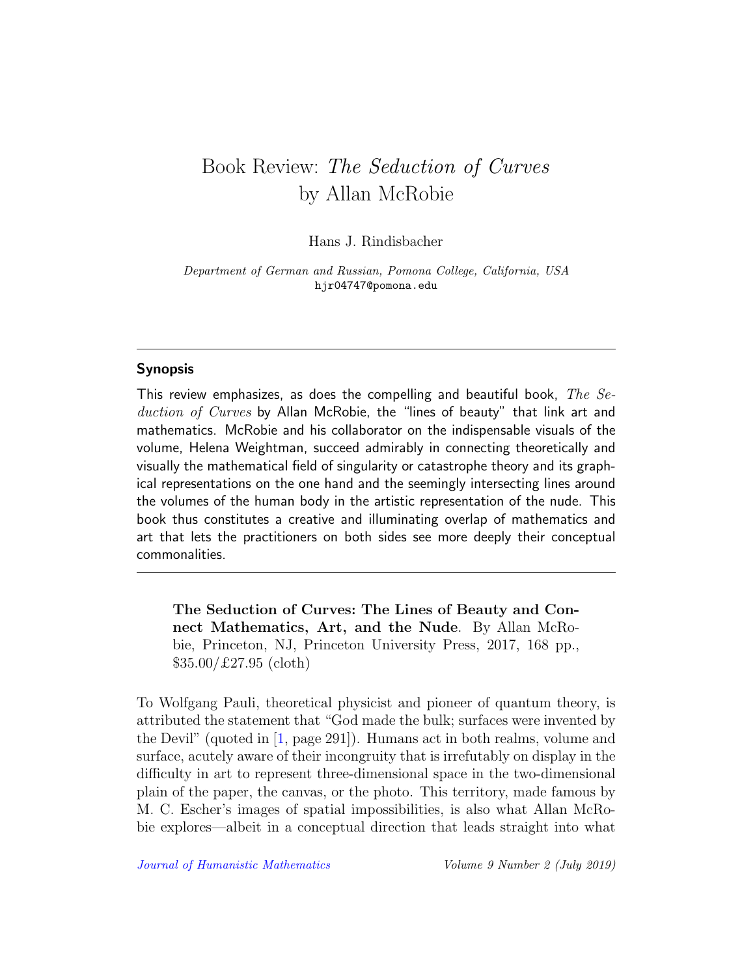# Book Review: The Seduction of Curves by Allan McRobie

Hans J. Rindisbacher

Department of German and Russian, Pomona College, California, USA hjr04747@pomona.edu

### Synopsis

This review emphasizes, as does the compelling and beautiful book,  $The Se$ duction of Curves by Allan McRobie, the "lines of beauty" that link art and mathematics. McRobie and his collaborator on the indispensable visuals of the volume, Helena Weightman, succeed admirably in connecting theoretically and visually the mathematical field of singularity or catastrophe theory and its graphical representations on the one hand and the seemingly intersecting lines around the volumes of the human body in the artistic representation of the nude. This book thus constitutes a creative and illuminating overlap of mathematics and art that lets the practitioners on both sides see more deeply their conceptual commonalities.

The Seduction of Curves: The Lines of Beauty and Connect Mathematics, Art, and the Nude. By Allan McRobie, Princeton, NJ, Princeton University Press, 2017, 168 pp., \$35.00/£27.95 (cloth)

To Wolfgang Pauli, theoretical physicist and pioneer of quantum theory, is attributed the statement that "God made the bulk; surfaces were invented by the Devil" (quoted in [\[1,](#page-5-0) page 291]). Humans act in both realms, volume and surface, acutely aware of their incongruity that is irrefutably on display in the difficulty in art to represent three-dimensional space in the two-dimensional plain of the paper, the canvas, or the photo. This territory, made famous by M. C. Escher's images of spatial impossibilities, is also what Allan McRobie explores—albeit in a conceptual direction that leads straight into what

[Journal of Humanistic Mathematics](http://scholarship.claremont.edu/jhm/) Volume 9 Number 2 (July 2019)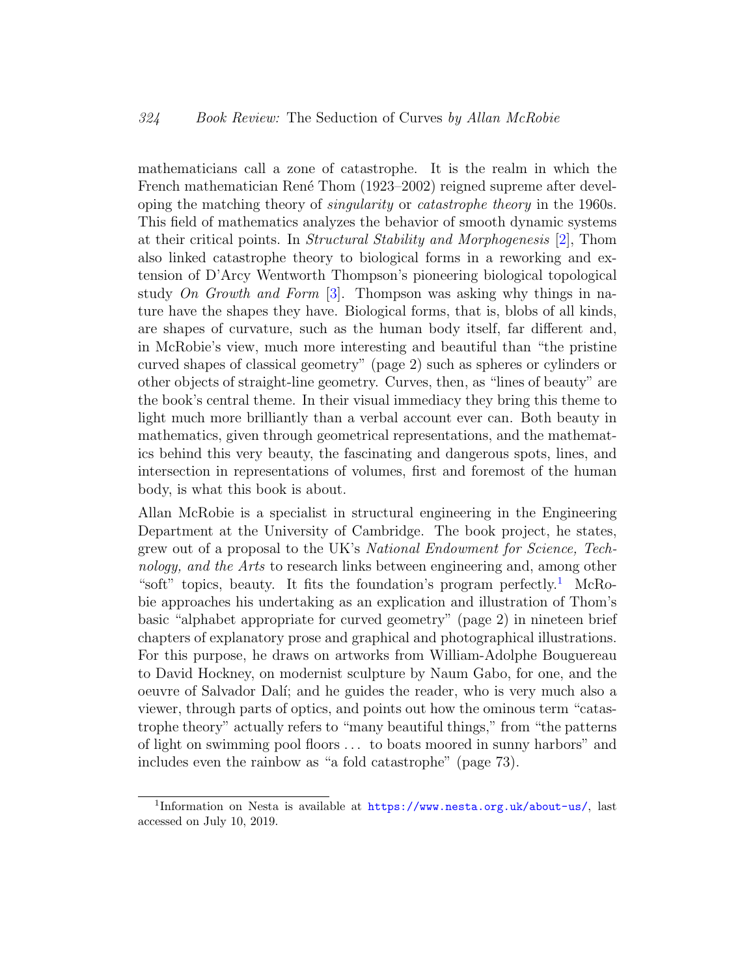mathematicians call a zone of catastrophe. It is the realm in which the French mathematician René Thom (1923–2002) reigned supreme after developing the matching theory of singularity or catastrophe theory in the 1960s. This field of mathematics analyzes the behavior of smooth dynamic systems at their critical points. In Structural Stability and Morphogenesis [\[2\]](#page-6-0), Thom also linked catastrophe theory to biological forms in a reworking and extension of D'Arcy Wentworth Thompson's pioneering biological topological study On Growth and Form  $[3]$ . Thompson was asking why things in nature have the shapes they have. Biological forms, that is, blobs of all kinds, are shapes of curvature, such as the human body itself, far different and, in McRobie's view, much more interesting and beautiful than "the pristine curved shapes of classical geometry" (page 2) such as spheres or cylinders or other objects of straight-line geometry. Curves, then, as "lines of beauty" are the book's central theme. In their visual immediacy they bring this theme to light much more brilliantly than a verbal account ever can. Both beauty in mathematics, given through geometrical representations, and the mathematics behind this very beauty, the fascinating and dangerous spots, lines, and intersection in representations of volumes, first and foremost of the human body, is what this book is about.

Allan McRobie is a specialist in structural engineering in the Engineering Department at the University of Cambridge. The book project, he states, grew out of a proposal to the UK's National Endowment for Science, Technology, and the Arts to research links between engineering and, among other "soft" topics, beauty. It fits the foundation's program perfectly.<sup>[1](#page-2-0)</sup> McRobie approaches his undertaking as an explication and illustration of Thom's basic "alphabet appropriate for curved geometry" (page 2) in nineteen brief chapters of explanatory prose and graphical and photographical illustrations. For this purpose, he draws on artworks from William-Adolphe Bouguereau to David Hockney, on modernist sculpture by Naum Gabo, for one, and the oeuvre of Salvador Dal´ı; and he guides the reader, who is very much also a viewer, through parts of optics, and points out how the ominous term "catastrophe theory" actually refers to "many beautiful things," from "the patterns of light on swimming pool floors . . . to boats moored in sunny harbors" and includes even the rainbow as "a fold catastrophe" (page 73).

<span id="page-2-0"></span><sup>&</sup>lt;sup>1</sup>Information on Nesta is available at <https://www.nesta.org.uk/about-us/>, last accessed on July 10, 2019.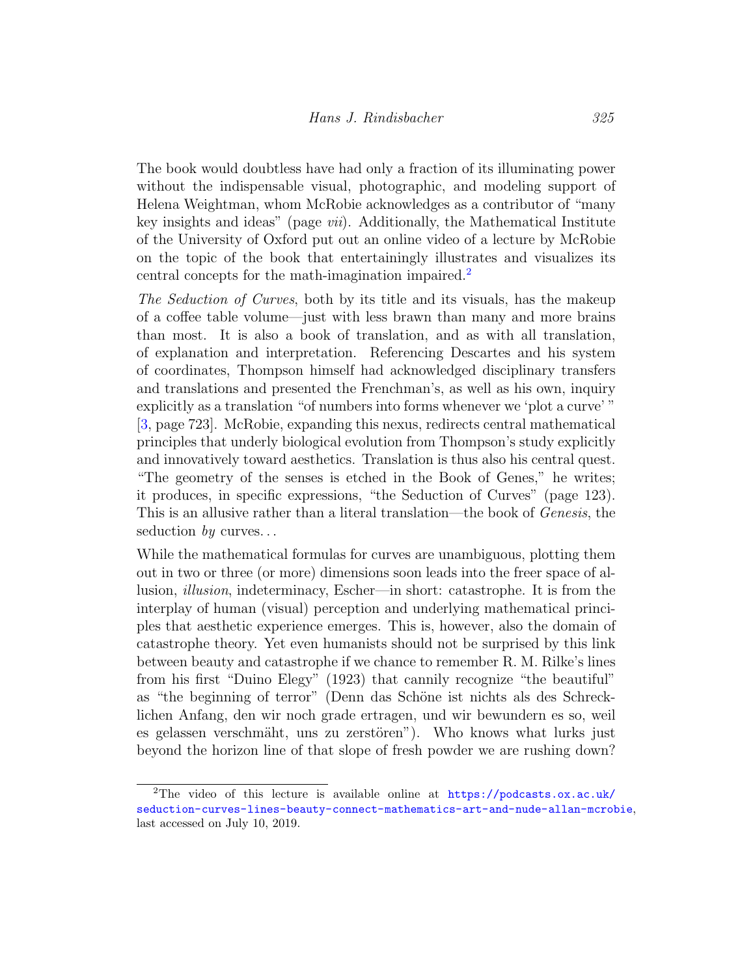The book would doubtless have had only a fraction of its illuminating power without the indispensable visual, photographic, and modeling support of Helena Weightman, whom McRobie acknowledges as a contributor of "many key insights and ideas" (page *vii*). Additionally, the Mathematical Institute of the University of Oxford put out an online video of a lecture by McRobie on the topic of the book that entertainingly illustrates and visualizes its central concepts for the math-imagination impaired.[2](#page-3-0)

The Seduction of Curves, both by its title and its visuals, has the makeup of a coffee table volume—just with less brawn than many and more brains than most. It is also a book of translation, and as with all translation, of explanation and interpretation. Referencing Descartes and his system of coordinates, Thompson himself had acknowledged disciplinary transfers and translations and presented the Frenchman's, as well as his own, inquiry explicitly as a translation "of numbers into forms whenever we 'plot a curve' " [\[3,](#page-6-1) page 723]. McRobie, expanding this nexus, redirects central mathematical principles that underly biological evolution from Thompson's study explicitly and innovatively toward aesthetics. Translation is thus also his central quest. "The geometry of the senses is etched in the Book of Genes," he writes; it produces, in specific expressions, "the Seduction of Curves" (page 123). This is an allusive rather than a literal translation—the book of Genesis, the seduction by curves...

While the mathematical formulas for curves are unambiguous, plotting them out in two or three (or more) dimensions soon leads into the freer space of allusion, illusion, indeterminacy, Escher—in short: catastrophe. It is from the interplay of human (visual) perception and underlying mathematical principles that aesthetic experience emerges. This is, however, also the domain of catastrophe theory. Yet even humanists should not be surprised by this link between beauty and catastrophe if we chance to remember R. M. Rilke's lines from his first "Duino Elegy" (1923) that cannily recognize "the beautiful" as "the beginning of terror" (Denn das Schöne ist nichts als des Schrecklichen Anfang, den wir noch grade ertragen, und wir bewundern es so, weil es gelassen verschmäht, uns zu zerstören"). Who knows what lurks just beyond the horizon line of that slope of fresh powder we are rushing down?

<span id="page-3-0"></span><sup>&</sup>lt;sup>2</sup>The video of this lecture is available online at  $\frac{h}{h}$  [https://podcasts.ox.ac.uk/](https://podcasts.ox.ac.uk/seduction-curves-lines-beauty-connect-mathematics-art-and-nude-allan-mcrobie) [seduction-curves-lines-beauty-connect-mathematics-art-and-nude-allan-mcrobie](https://podcasts.ox.ac.uk/seduction-curves-lines-beauty-connect-mathematics-art-and-nude-allan-mcrobie), last accessed on July 10, 2019.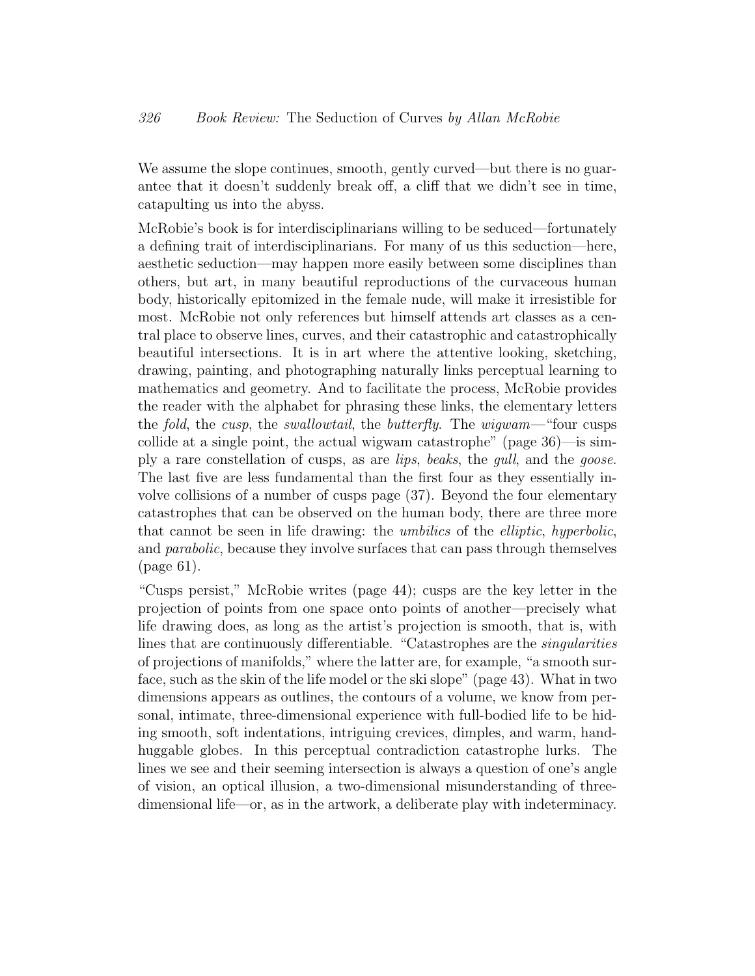We assume the slope continues, smooth, gently curved—but there is no guarantee that it doesn't suddenly break off, a cliff that we didn't see in time, catapulting us into the abyss.

McRobie's book is for interdisciplinarians willing to be seduced—fortunately a defining trait of interdisciplinarians. For many of us this seduction—here, aesthetic seduction—may happen more easily between some disciplines than others, but art, in many beautiful reproductions of the curvaceous human body, historically epitomized in the female nude, will make it irresistible for most. McRobie not only references but himself attends art classes as a central place to observe lines, curves, and their catastrophic and catastrophically beautiful intersections. It is in art where the attentive looking, sketching, drawing, painting, and photographing naturally links perceptual learning to mathematics and geometry. And to facilitate the process, McRobie provides the reader with the alphabet for phrasing these links, the elementary letters the fold, the cusp, the swallowtail, the butterfly. The wigwam—"four cusps collide at a single point, the actual wigwam catastrophe" (page 36)—is simply a rare constellation of cusps, as are lips, beaks, the gull, and the goose. The last five are less fundamental than the first four as they essentially involve collisions of a number of cusps page (37). Beyond the four elementary catastrophes that can be observed on the human body, there are three more that cannot be seen in life drawing: the umbilics of the elliptic, hyperbolic, and *parabolic*, because they involve surfaces that can pass through themselves (page 61).

"Cusps persist," McRobie writes (page 44); cusps are the key letter in the projection of points from one space onto points of another—precisely what life drawing does, as long as the artist's projection is smooth, that is, with lines that are continuously differentiable. "Catastrophes are the *singularities* of projections of manifolds," where the latter are, for example, "a smooth surface, such as the skin of the life model or the ski slope" (page 43). What in two dimensions appears as outlines, the contours of a volume, we know from personal, intimate, three-dimensional experience with full-bodied life to be hiding smooth, soft indentations, intriguing crevices, dimples, and warm, handhuggable globes. In this perceptual contradiction catastrophe lurks. The lines we see and their seeming intersection is always a question of one's angle of vision, an optical illusion, a two-dimensional misunderstanding of threedimensional life—or, as in the artwork, a deliberate play with indeterminacy.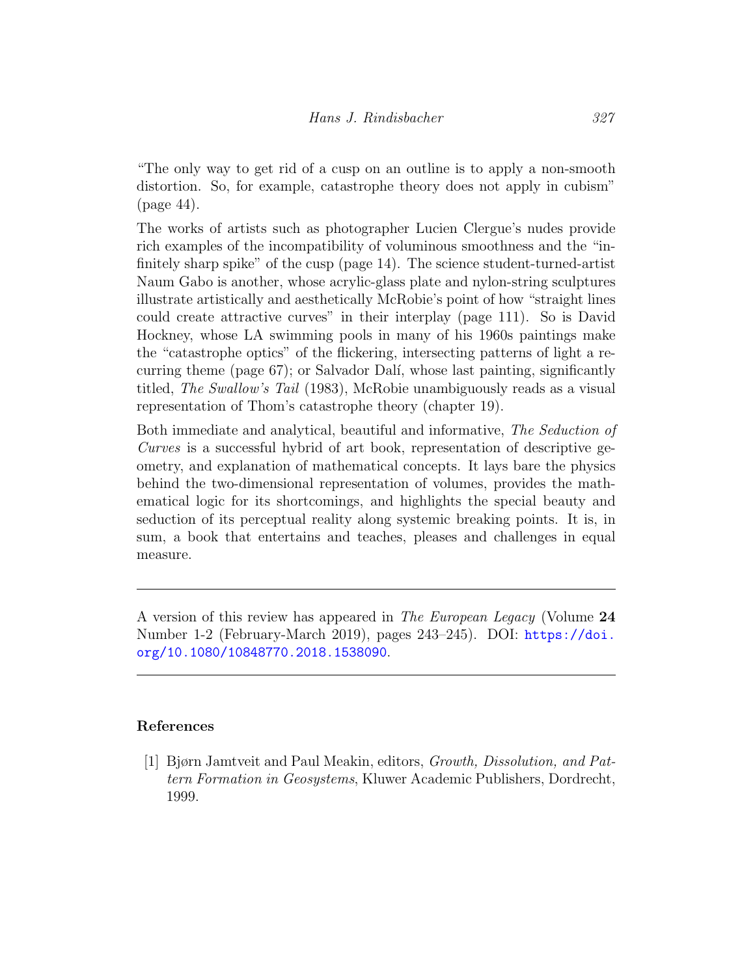"The only way to get rid of a cusp on an outline is to apply a non-smooth distortion. So, for example, catastrophe theory does not apply in cubism" (page 44).

The works of artists such as photographer Lucien Clergue's nudes provide rich examples of the incompatibility of voluminous smoothness and the "infinitely sharp spike" of the cusp (page 14). The science student-turned-artist Naum Gabo is another, whose acrylic-glass plate and nylon-string sculptures illustrate artistically and aesthetically McRobie's point of how "straight lines could create attractive curves" in their interplay (page 111). So is David Hockney, whose LA swimming pools in many of his 1960s paintings make the "catastrophe optics" of the flickering, intersecting patterns of light a recurring theme (page 67); or Salvador Dal´ı, whose last painting, significantly titled, The Swallow's Tail (1983), McRobie unambiguously reads as a visual representation of Thom's catastrophe theory (chapter 19).

Both immediate and analytical, beautiful and informative, The Seduction of Curves is a successful hybrid of art book, representation of descriptive geometry, and explanation of mathematical concepts. It lays bare the physics behind the two-dimensional representation of volumes, provides the mathematical logic for its shortcomings, and highlights the special beauty and seduction of its perceptual reality along systemic breaking points. It is, in sum, a book that entertains and teaches, pleases and challenges in equal measure.

A version of this review has appeared in The European Legacy (Volume 24 Number 1-2 (February-March 2019), pages 243–245). DOI: [https://doi.](https://doi.org/10.1080/10848770.2018.1538090) [org/10.1080/10848770.2018.1538090](https://doi.org/10.1080/10848770.2018.1538090).

### References

<span id="page-5-0"></span>[1] Bjørn Jamtveit and Paul Meakin, editors, Growth, Dissolution, and Pattern Formation in Geosystems, Kluwer Academic Publishers, Dordrecht, 1999.